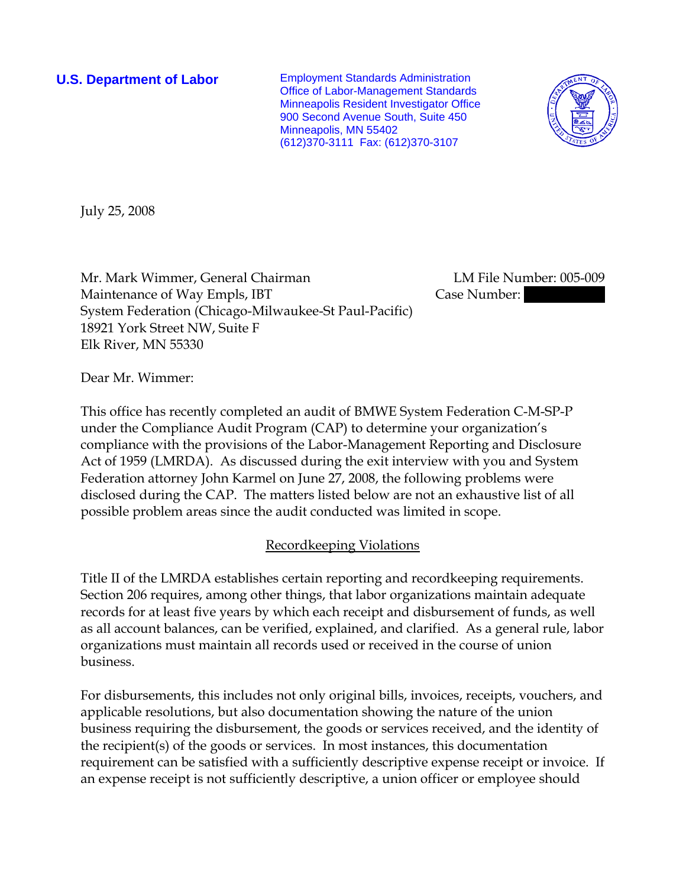**U.S. Department of Labor** Employment Standards Administration Office of Labor-Management Standards Minneapolis Resident Investigator Office 900 Second Avenue South, Suite 450 Minneapolis, MN 55402 (612)370-3111 Fax: (612)370-3107



July 25, 2008

Mr. Mark Wimmer, General Chairman LM File Number: 005-009 Maintenance of Way Empls, IBT Case Number: System Federation (Chicago-Milwaukee-St Paul-Pacific) 18921 York Street NW, Suite F Elk River, MN 55330

Dear Mr. Wimmer:

This office has recently completed an audit of BMWE System Federation C-M-SP-P under the Compliance Audit Program (CAP) to determine your organization's compliance with the provisions of the Labor-Management Reporting and Disclosure Act of 1959 (LMRDA). As discussed during the exit interview with you and System Federation attorney John Karmel on June 27, 2008, the following problems were disclosed during the CAP. The matters listed below are not an exhaustive list of all possible problem areas since the audit conducted was limited in scope.

## Recordkeeping Violations

Title II of the LMRDA establishes certain reporting and recordkeeping requirements. Section 206 requires, among other things, that labor organizations maintain adequate records for at least five years by which each receipt and disbursement of funds, as well as all account balances, can be verified, explained, and clarified. As a general rule, labor organizations must maintain all records used or received in the course of union business.

For disbursements, this includes not only original bills, invoices, receipts, vouchers, and applicable resolutions, but also documentation showing the nature of the union business requiring the disbursement, the goods or services received, and the identity of the recipient(s) of the goods or services. In most instances, this documentation requirement can be satisfied with a sufficiently descriptive expense receipt or invoice. If an expense receipt is not sufficiently descriptive, a union officer or employee should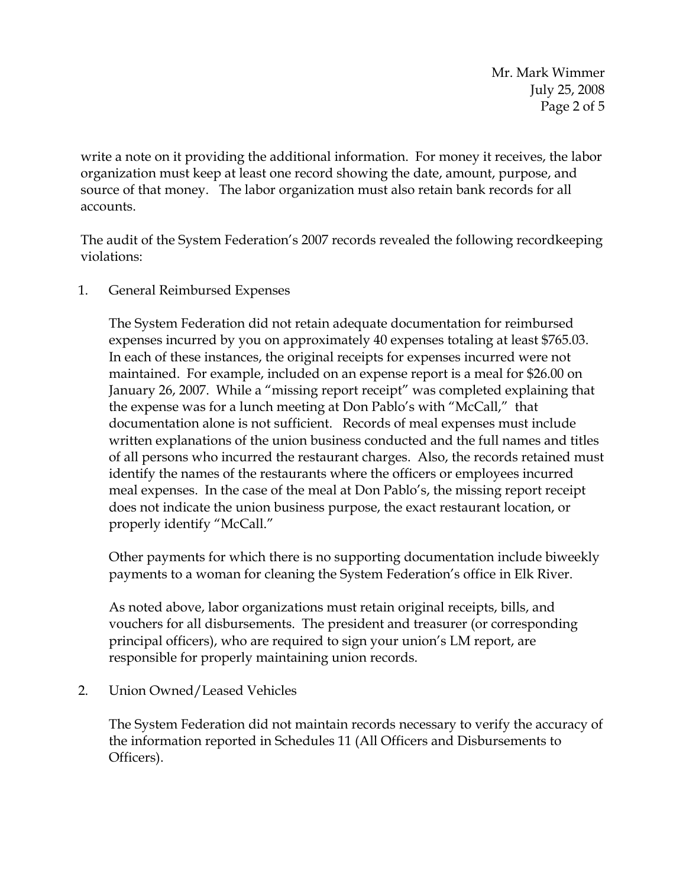Mr. Mark Wimmer July 25, 2008 Page 2 of 5

write a note on it providing the additional information. For money it receives, the labor organization must keep at least one record showing the date, amount, purpose, and source of that money. The labor organization must also retain bank records for all accounts.

The audit of the System Federation's 2007 records revealed the following recordkeeping violations:

1. General Reimbursed Expenses

The System Federation did not retain adequate documentation for reimbursed expenses incurred by you on approximately 40 expenses totaling at least \$765.03. In each of these instances, the original receipts for expenses incurred were not maintained. For example, included on an expense report is a meal for \$26.00 on January 26, 2007. While a "missing report receipt" was completed explaining that the expense was for a lunch meeting at Don Pablo's with "McCall," that documentation alone is not sufficient. Records of meal expenses must include written explanations of the union business conducted and the full names and titles of all persons who incurred the restaurant charges. Also, the records retained must identify the names of the restaurants where the officers or employees incurred meal expenses. In the case of the meal at Don Pablo's, the missing report receipt does not indicate the union business purpose, the exact restaurant location, or properly identify "McCall."

Other payments for which there is no supporting documentation include biweekly payments to a woman for cleaning the System Federation's office in Elk River.

As noted above, labor organizations must retain original receipts, bills, and vouchers for all disbursements. The president and treasurer (or corresponding principal officers), who are required to sign your union's LM report, are responsible for properly maintaining union records.

2. Union Owned/Leased Vehicles

The System Federation did not maintain records necessary to verify the accuracy of the information reported in Schedules 11 (All Officers and Disbursements to Officers).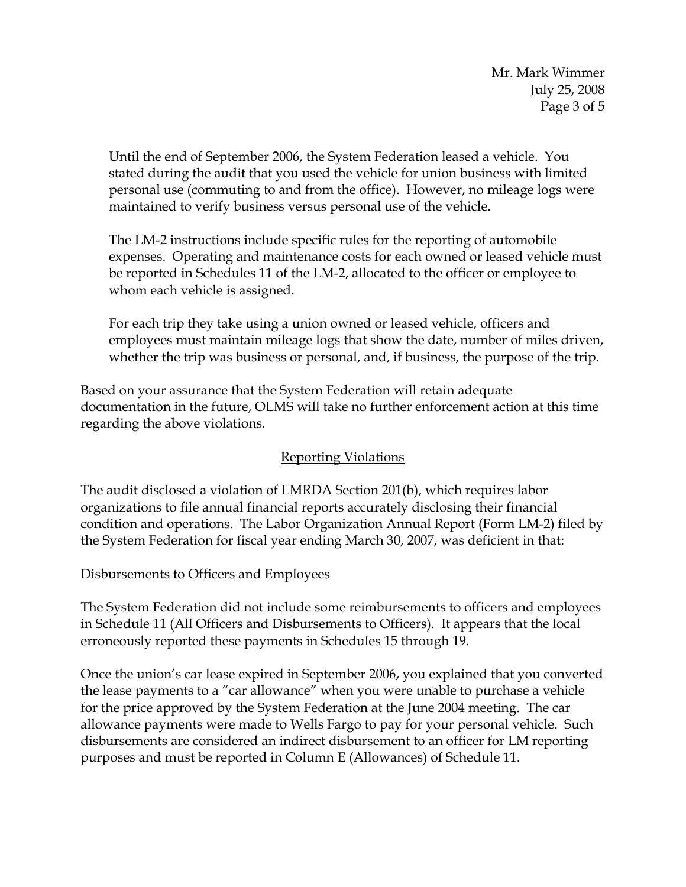Until the end of September 2006, the System Federation leased a vehicle. You stated during the audit that you used the vehicle for union business with limited personal use (commuting to and from the office). However, no mileage logs were maintained to verify business versus personal use of the vehicle.

The LM-2 instructions include specific rules for the reporting of automobile expenses. Operating and maintenance costs for each owned or leased vehicle must be reported in Schedules 11 of the LM-2, allocated to the officer or employee to whom each vehicle is assigned.

For each trip they take using a union owned or leased vehicle, officers and employees must maintain mileage logs that show the date, number of miles driven, whether the trip was business or personal, and, if business, the purpose of the trip.

Based on your assurance that the System Federation will retain adequate documentation in the future, OLMS will take no further enforcement action at this time regarding the above violations.

# Reporting Violations

The audit disclosed a violation of LMRDA Section 201(b), which requires labor organizations to file annual financial reports accurately disclosing their financial condition and operations. The Labor Organization Annual Report (Form LM-2) filed by the System Federation for fiscal year ending March 30, 2007, was deficient in that:

Disbursements to Officers and Employees

The System Federation did not include some reimbursements to officers and employees in Schedule 11 (All Officers and Disbursements to Officers). It appears that the local erroneously reported these payments in Schedules 15 through 19.

Once the union's car lease expired in September 2006, you explained that you converted the lease payments to a "car allowance" when you were unable to purchase a vehicle for the price approved by the System Federation at the June 2004 meeting. The car allowance payments were made to Wells Fargo to pay for your personal vehicle. Such disbursements are considered an indirect disbursement to an officer for LM reporting purposes and must be reported in Column E (Allowances) of Schedule 11.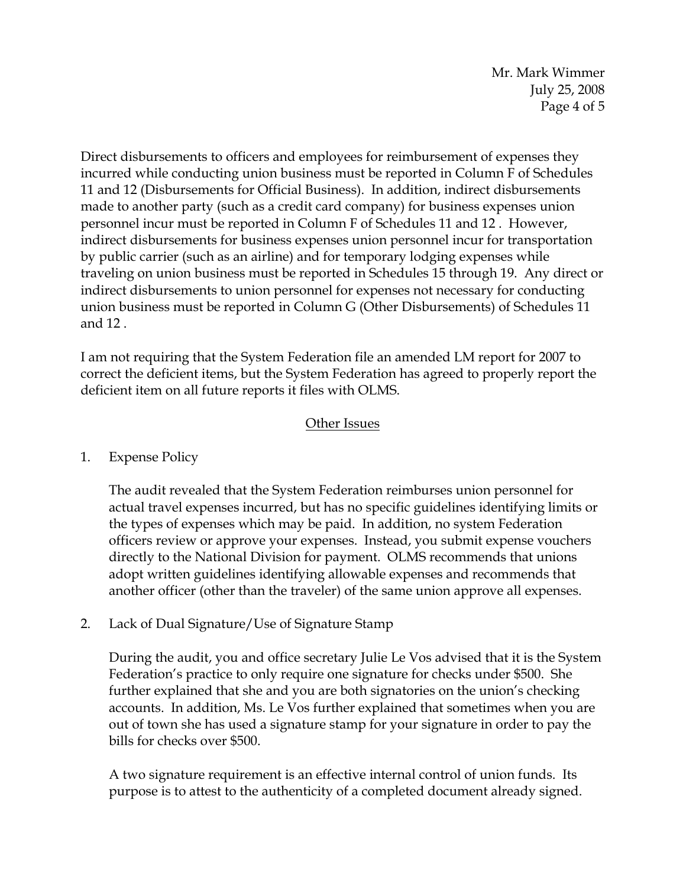Mr. Mark Wimmer July 25, 2008 Page 4 of 5

Direct disbursements to officers and employees for reimbursement of expenses they incurred while conducting union business must be reported in Column F of Schedules 11 and 12 (Disbursements for Official Business). In addition, indirect disbursements made to another party (such as a credit card company) for business expenses union personnel incur must be reported in Column F of Schedules 11 and 12 . However, indirect disbursements for business expenses union personnel incur for transportation by public carrier (such as an airline) and for temporary lodging expenses while traveling on union business must be reported in Schedules 15 through 19. Any direct or indirect disbursements to union personnel for expenses not necessary for conducting union business must be reported in Column G (Other Disbursements) of Schedules 11 and 12 .

I am not requiring that the System Federation file an amended LM report for 2007 to correct the deficient items, but the System Federation has agreed to properly report the deficient item on all future reports it files with OLMS.

## Other Issues

### 1. Expense Policy

The audit revealed that the System Federation reimburses union personnel for actual travel expenses incurred, but has no specific guidelines identifying limits or the types of expenses which may be paid. In addition, no system Federation officers review or approve your expenses. Instead, you submit expense vouchers directly to the National Division for payment. OLMS recommends that unions adopt written guidelines identifying allowable expenses and recommends that another officer (other than the traveler) of the same union approve all expenses.

2. Lack of Dual Signature/Use of Signature Stamp

During the audit, you and office secretary Julie Le Vos advised that it is the System Federation's practice to only require one signature for checks under \$500. She further explained that she and you are both signatories on the union's checking accounts. In addition, Ms. Le Vos further explained that sometimes when you are out of town she has used a signature stamp for your signature in order to pay the bills for checks over \$500.

A two signature requirement is an effective internal control of union funds. Its purpose is to attest to the authenticity of a completed document already signed.